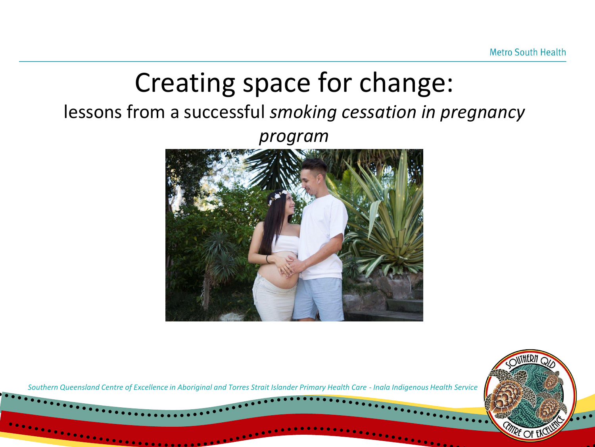# Creating space for change: lessons from a successful *smoking cessation in pregnancy program*

*Southern Queensland Centre of Excellence in Aboriginal and Torres Strait Islander Primary Health Care - Inala Indigenous Health Service*

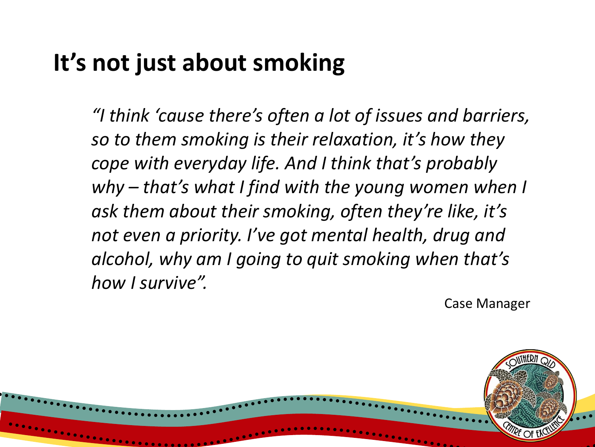#### **It's not just about smoking**

*"I think 'cause there's often a lot of issues and barriers, so to them smoking is their relaxation, it's how they cope with everyday life. And I think that's probably why – that's what I find with the young women when I ask them about their smoking, often they're like, it's not even a priority. I've got mental health, drug and alcohol, why am I going to quit smoking when that's how I survive".*

Case Manager

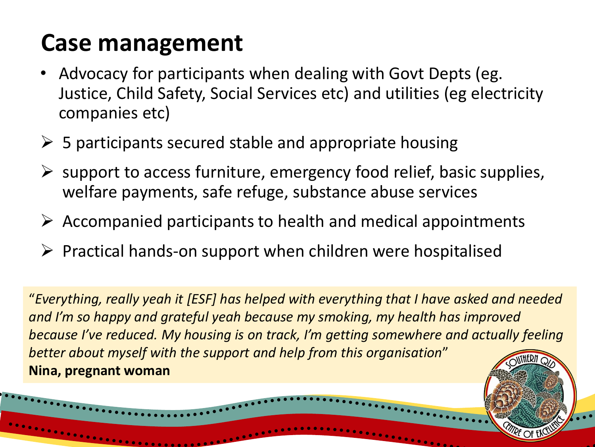## **Case management**

- Advocacy for participants when dealing with Govt Depts (eg. Justice, Child Safety, Social Services etc) and utilities (eg electricity companies etc)
- $\triangleright$  5 participants secured stable and appropriate housing
- $\triangleright$  support to access furniture, emergency food relief, basic supplies, welfare payments, safe refuge, substance abuse services
- $\triangleright$  Accompanied participants to health and medical appointments
- ➢ Practical hands-on support when children were hospitalised

"*Everything, really yeah it [ESF] has helped with everything that I have asked and needed and I'm so happy and grateful yeah because my smoking, my health has improved because I've reduced. My housing is on track, I'm getting somewhere and actually feeling better about myself with the support and help from this organisation*" **Nina, pregnant woman**

**MIRE OF ENC**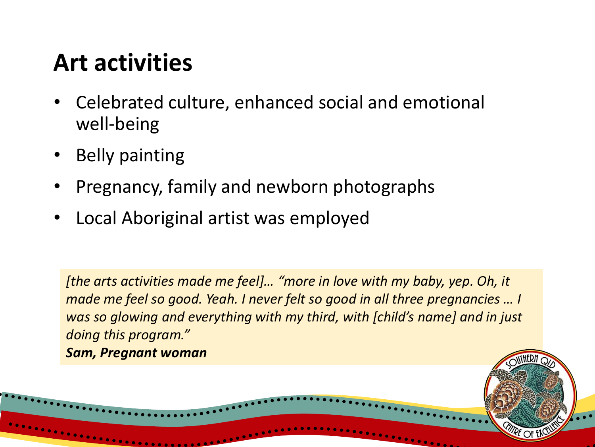## **Art activities**

- Celebrated culture, enhanced social and emotional well-being
- **Belly painting**
- Pregnancy, family and newborn photographs
- Local Aboriginal artist was employed

*[the arts activities made me feel]… "more in love with my baby, yep. Oh, it made me feel so good. Yeah. I never felt so good in all three pregnancies ... I was so glowing and everything with my third, with [child's name] and in just doing this program."* 

**ITRE OF EN** 

*Sam, Pregnant woman*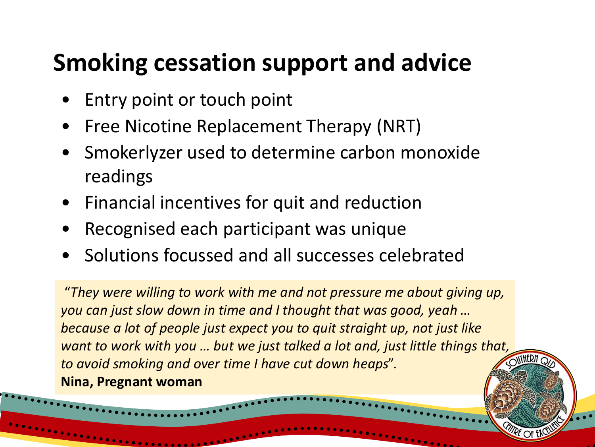## **Smoking cessation support and advice**

- Entry point or touch point
- Free Nicotine Replacement Therapy (NRT)
- Smokerlyzer used to determine carbon monoxide readings
- Financial incentives for quit and reduction
- Recognised each participant was unique
- Solutions focussed and all successes celebrated

"*They were willing to work with me and not pressure me about giving up, you can just slow down in time and I thought that was good, yeah … because a lot of people just expect you to quit straight up, not just like want to work with you … but we just talked a lot and, just little things that, to avoid smoking and over time I have cut down heaps*". **Nina, Pregnant woman**

nthern

**MRE OF EX**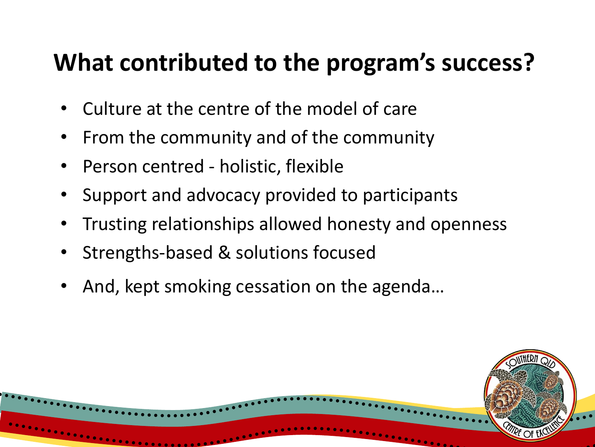## **What contributed to the program's success?**

- Culture at the centre of the model of care
- From the community and of the community
- Person centred holistic, flexible
- Support and advocacy provided to participants
- Trusting relationships allowed honesty and openness
- Strengths-based & solutions focused
- And, kept smoking cessation on the agenda…

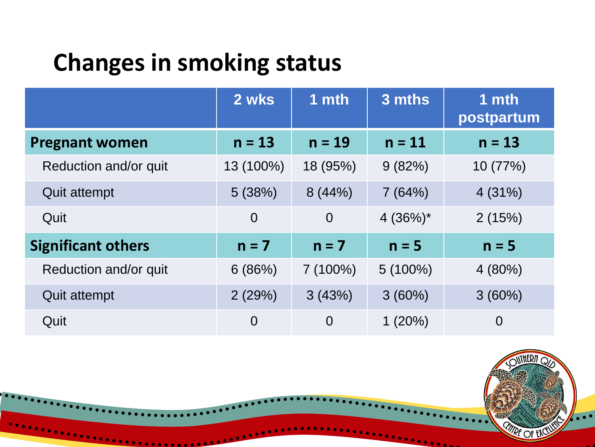## **Changes in smoking status**

|                           | 2 wks          | 1 mth          | 3 mths     | 1 mth<br>postpartum |  |
|---------------------------|----------------|----------------|------------|---------------------|--|
| <b>Pregnant women</b>     | $n = 13$       | $n = 19$       | $n = 11$   | $n = 13$            |  |
| Reduction and/or quit     | 13 (100%)      | 18 (95%)       | 9(82%)     | 10 (77%)            |  |
| <b>Quit attempt</b>       | 5(38%)         | 8(44%)         | 7(64%)     | 4(31%)              |  |
| Quit                      | $\overline{0}$ | $\overline{0}$ | $4(36%)^*$ | 2(15%)              |  |
| <b>Significant others</b> | $n = 7$        | $n = 7$        | $n = 5$    | $n = 5$             |  |
| Reduction and/or quit     | 6(86%)         | $7(100\%)$     | $5(100\%)$ | 4(80%)              |  |
| <b>Quit attempt</b>       | 2(29%)         | 3(43%)         | 3(60%)     | 3(60%)              |  |
| Quit                      | $\overline{0}$ | $\overline{0}$ | 1(20%)     | $\overline{0}$      |  |